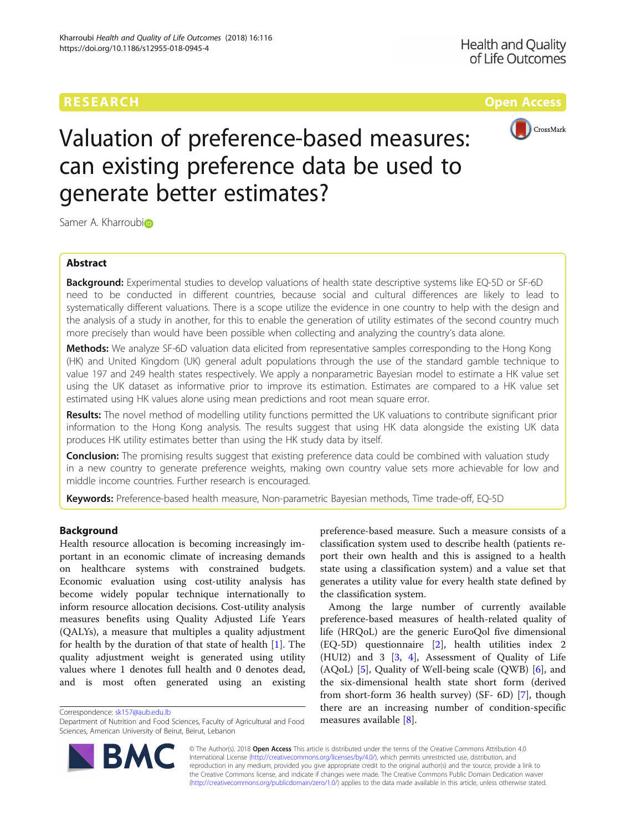## **RESEARCH CH Open Access CHOOP CONTROL**



# Valuation of preference-based measures: can existing preference data be used to generate better estimates?

Samer A. Kharroub[i](http://orcid.org/0000-0002-2355-2719)o

## Abstract

**Background:** Experimental studies to develop valuations of health state descriptive systems like EQ-5D or SF-6D need to be conducted in different countries, because social and cultural differences are likely to lead to systematically different valuations. There is a scope utilize the evidence in one country to help with the design and the analysis of a study in another, for this to enable the generation of utility estimates of the second country much more precisely than would have been possible when collecting and analyzing the country's data alone.

Methods: We analyze SF-6D valuation data elicited from representative samples corresponding to the Hong Kong (HK) and United Kingdom (UK) general adult populations through the use of the standard gamble technique to value 197 and 249 health states respectively. We apply a nonparametric Bayesian model to estimate a HK value set using the UK dataset as informative prior to improve its estimation. Estimates are compared to a HK value set estimated using HK values alone using mean predictions and root mean square error.

Results: The novel method of modelling utility functions permitted the UK valuations to contribute significant prior information to the Hong Kong analysis. The results suggest that using HK data alongside the existing UK data produces HK utility estimates better than using the HK study data by itself.

**Conclusion:** The promising results suggest that existing preference data could be combined with valuation study in a new country to generate preference weights, making own country value sets more achievable for low and middle income countries. Further research is encouraged.

Keywords: Preference-based health measure, Non-parametric Bayesian methods, Time trade-off, EQ-5D

## Background

Health resource allocation is becoming increasingly important in an economic climate of increasing demands on healthcare systems with constrained budgets. Economic evaluation using cost-utility analysis has become widely popular technique internationally to inform resource allocation decisions. Cost-utility analysis measures benefits using Quality Adjusted Life Years (QALYs), a measure that multiples a quality adjustment for health by the duration of that state of health [\[1\]](#page-12-0). The quality adjustment weight is generated using utility values where 1 denotes full health and 0 denotes dead, and is most often generated using an existing

preference-based measure. Such a measure consists of a classification system used to describe health (patients report their own health and this is assigned to a health state using a classification system) and a value set that generates a utility value for every health state defined by the classification system.

Among the large number of currently available preference-based measures of health-related quality of life (HRQoL) are the generic EuroQol five dimensional (EQ-5D) questionnaire [\[2](#page-12-0)], health utilities index 2  $(HUI2)$  and 3  $[3, 4]$  $[3, 4]$  $[3, 4]$ , Assessment of Quality of Life (AQoL) [[5\]](#page-12-0), Quality of Well-being scale (QWB) [[6\]](#page-12-0), and the six-dimensional health state short form (derived from short-form 36 health survey) (SF- 6D) [[7](#page-12-0)], though there are an increasing number of condition-specific



© The Author(s). 2018 Open Access This article is distributed under the terms of the Creative Commons Attribution 4.0 International License [\(http://creativecommons.org/licenses/by/4.0/](http://creativecommons.org/licenses/by/4.0/)), which permits unrestricted use, distribution, and reproduction in any medium, provided you give appropriate credit to the original author(s) and the source, provide a link to the Creative Commons license, and indicate if changes were made. The Creative Commons Public Domain Dedication waiver [\(http://creativecommons.org/publicdomain/zero/1.0/](http://creativecommons.org/publicdomain/zero/1.0/)) applies to the data made available in this article, unless otherwise stated.

Correspondence: [sk157@aub.edu.lb](mailto:sk157@aub.edu.lb)<br>Department of Nutrition and Food Sciences, Faculty of Agricultural and Food **measures available** [[8](#page-12-0)]. Sciences, American University of Beirut, Beirut, Lebanon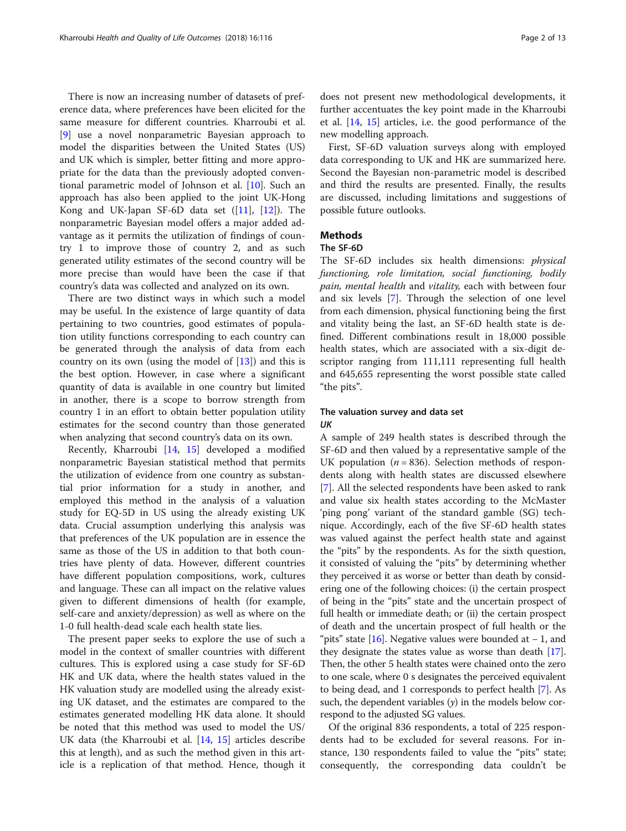There is now an increasing number of datasets of preference data, where preferences have been elicited for the same measure for different countries. Kharroubi et al. [[9\]](#page-12-0) use a novel nonparametric Bayesian approach to model the disparities between the United States (US) and UK which is simpler, better fitting and more appropriate for the data than the previously adopted conventional parametric model of Johnson et al. [[10\]](#page-12-0). Such an approach has also been applied to the joint UK-Hong Kong and UK-Japan SF-6D data set ([[11\]](#page-12-0), [[12](#page-12-0)]). The nonparametric Bayesian model offers a major added advantage as it permits the utilization of findings of country 1 to improve those of country 2, and as such generated utility estimates of the second country will be more precise than would have been the case if that country's data was collected and analyzed on its own.

There are two distinct ways in which such a model may be useful. In the existence of large quantity of data pertaining to two countries, good estimates of population utility functions corresponding to each country can be generated through the analysis of data from each country on its own (using the model of  $[13]$  $[13]$ ) and this is the best option. However, in case where a significant quantity of data is available in one country but limited in another, there is a scope to borrow strength from country 1 in an effort to obtain better population utility estimates for the second country than those generated when analyzing that second country's data on its own.

Recently, Kharroubi [\[14,](#page-12-0) [15](#page-12-0)] developed a modified nonparametric Bayesian statistical method that permits the utilization of evidence from one country as substantial prior information for a study in another, and employed this method in the analysis of a valuation study for EQ-5D in US using the already existing UK data. Crucial assumption underlying this analysis was that preferences of the UK population are in essence the same as those of the US in addition to that both countries have plenty of data. However, different countries have different population compositions, work, cultures and language. These can all impact on the relative values given to different dimensions of health (for example, self-care and anxiety/depression) as well as where on the 1-0 full health-dead scale each health state lies.

The present paper seeks to explore the use of such a model in the context of smaller countries with different cultures. This is explored using a case study for SF-6D HK and UK data, where the health states valued in the HK valuation study are modelled using the already existing UK dataset, and the estimates are compared to the estimates generated modelling HK data alone. It should be noted that this method was used to model the US/ UK data (the Kharroubi et al. [\[14](#page-12-0), [15](#page-12-0)] articles describe this at length), and as such the method given in this article is a replication of that method. Hence, though it

does not present new methodological developments, it further accentuates the key point made in the Kharroubi et al. [[14,](#page-12-0) [15\]](#page-12-0) articles, i.e. the good performance of the new modelling approach.

First, SF-6D valuation surveys along with employed data corresponding to UK and HK are summarized here. Second the Bayesian non-parametric model is described and third the results are presented. Finally, the results are discussed, including limitations and suggestions of possible future outlooks.

## **Methods**

## The SF-6D

The SF-6D includes six health dimensions: physical functioning, role limitation, social functioning, bodily pain, mental health and vitality, each with between four and six levels [[7\]](#page-12-0). Through the selection of one level from each dimension, physical functioning being the first and vitality being the last, an SF-6D health state is defined. Different combinations result in 18,000 possible health states, which are associated with a six-digit descriptor ranging from 111,111 representing full health and 645,655 representing the worst possible state called "the pits".

## The valuation survey and data set  $_{IJK}$

A sample of 249 health states is described through the SF-6D and then valued by a representative sample of the UK population ( $n = 836$ ). Selection methods of respondents along with health states are discussed elsewhere [[7\]](#page-12-0). All the selected respondents have been asked to rank and value six health states according to the McMaster 'ping pong' variant of the standard gamble (SG) technique. Accordingly, each of the five SF-6D health states was valued against the perfect health state and against the "pits" by the respondents. As for the sixth question, it consisted of valuing the "pits" by determining whether they perceived it as worse or better than death by considering one of the following choices: (i) the certain prospect of being in the "pits" state and the uncertain prospect of full health or immediate death; or (ii) the certain prospect of death and the uncertain prospect of full health or the "pits" state  $[16]$  $[16]$ . Negative values were bounded at  $-1$ , and they designate the states value as worse than death [[17](#page-12-0)]. Then, the other 5 health states were chained onto the zero to one scale, where 0 s designates the perceived equivalent to being dead, and 1 corresponds to perfect health [[7\]](#page-12-0). As such, the dependent variables  $(y)$  in the models below correspond to the adjusted SG values.

Of the original 836 respondents, a total of 225 respondents had to be excluded for several reasons. For instance, 130 respondents failed to value the "pits" state; consequently, the corresponding data couldn't be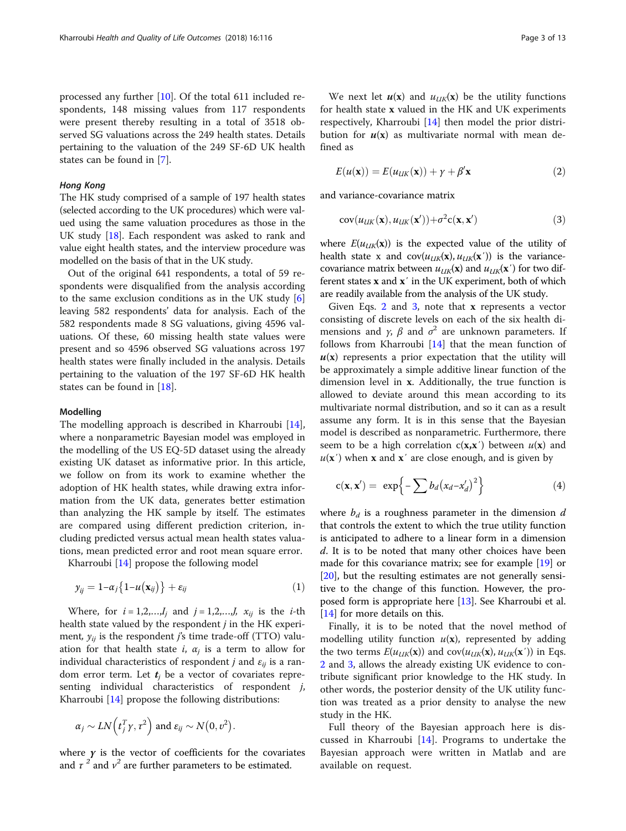<span id="page-2-0"></span>The HK study comprised of a sample of 197 health states (selected according to the UK procedures) which were valued using the same valuation procedures as those in the UK study [\[18\]](#page-12-0). Each respondent was asked to rank and value eight health states, and the interview procedure was modelled on the basis of that in the UK study.

Out of the original 641 respondents, a total of 59 respondents were disqualified from the analysis according to the same exclusion conditions as in the UK study [\[6](#page-12-0)] leaving 582 respondents' data for analysis. Each of the 582 respondents made 8 SG valuations, giving 4596 valuations. Of these, 60 missing health state values were present and so 4596 observed SG valuations across 197 health states were finally included in the analysis. Details pertaining to the valuation of the 197 SF-6D HK health states can be found in [[18\]](#page-12-0).

## Modelling

The modelling approach is described in Kharroubi [\[14](#page-12-0)], where a nonparametric Bayesian model was employed in the modelling of the US EQ-5D dataset using the already existing UK dataset as informative prior. In this article, we follow on from its work to examine whether the adoption of HK health states, while drawing extra information from the UK data, generates better estimation than analyzing the HK sample by itself. The estimates are compared using different prediction criterion, including predicted versus actual mean health states valuations, mean predicted error and root mean square error.

Kharroubi [[14](#page-12-0)] propose the following model

$$
y_{ij} = 1 - \alpha_j \{ 1 - u(\mathbf{x}_{ij}) \} + \varepsilon_{ij}
$$
 (1)

Where, for  $i = 1,2,...,I_j$  and  $j = 1,2,...,J_j$ ,  $x_{ij}$  is the *i*-th health state valued by the respondent  $j$  in the HK experiment,  $y_{ii}$  is the respondent j's time trade-off (TTO) valuation for that health state i,  $\alpha_i$  is a term to allow for individual characteristics of respondent *j* and  $\varepsilon_{ii}$  is a random error term. Let  $t_i$  be a vector of covariates representing individual characteristics of respondent j, Kharroubi [[14](#page-12-0)] propose the following distributions:

$$
\alpha_j \sim LN(t_j^T \gamma, \tau^2)
$$
 and  $\varepsilon_{ij} \sim N(0, \nu^2)$ .

where  $\gamma$  is the vector of coefficients for the covariates and  $\tau^2$  and  $\nu^2$  are further parameters to be estimated.

We next let  $u(x)$  and  $u_{UK}(x)$  be the utility functions for health state x valued in the HK and UK experiments respectively, Kharroubi [\[14](#page-12-0)] then model the prior distribution for  $u(x)$  as multivariate normal with mean defined as

$$
E(u(\mathbf{x})) = E(u_{\mathcal{U}\mathcal{K}}(\mathbf{x})) + \gamma + \beta' \mathbf{x}
$$
 (2)

and variance-covariance matrix

$$
cov(u_{UK}(\mathbf{x}), u_{UK}(\mathbf{x}')) + \sigma^2 c(\mathbf{x}, \mathbf{x}') \tag{3}
$$

where  $E(u_{IJK}(\mathbf{x}))$  is the expected value of the utility of health state x and  $cov(u_{UK}(\mathbf{x}), u_{UK}(\mathbf{x}'))$  is the variancecovariance matrix between  $u_{UK}(x)$  and  $u_{UK}(x')$  for two different states  $x$  and  $x'$  in the UK experiment, both of which are readily available from the analysis of the UK study.

Given Eqs. 2 and 3, note that  $x$  represents a vector consisting of discrete levels on each of the six health dimensions and *γ*,  $\beta$  and  $\sigma^2$  are unknown parameters. If follows from Kharroubi [[14\]](#page-12-0) that the mean function of  $u(x)$  represents a prior expectation that the utility will be approximately a simple additive linear function of the dimension level in x. Additionally, the true function is allowed to deviate around this mean according to its multivariate normal distribution, and so it can as a result assume any form. It is in this sense that the Bayesian model is described as nonparametric. Furthermore, there seem to be a high correlation  $c(x,x')$  between  $u(x)$  and  $u(\mathbf{x}')$  when  $\mathbf x$  and  $\mathbf x'$  are close enough, and is given by

$$
c(\mathbf{x}, \mathbf{x}') = \exp\left\{-\sum b_d (x_d - x'_d)^2\right\} \tag{4}
$$

where  $b_d$  is a roughness parameter in the dimension d that controls the extent to which the true utility function is anticipated to adhere to a linear form in a dimension d. It is to be noted that many other choices have been made for this covariance matrix; see for example [\[19](#page-12-0)] or [[20\]](#page-12-0), but the resulting estimates are not generally sensitive to the change of this function. However, the proposed form is appropriate here [[13](#page-12-0)]. See Kharroubi et al. [[14\]](#page-12-0) for more details on this.

Finally, it is to be noted that the novel method of modelling utility function  $u(x)$ , represented by adding the two terms  $E(u_{UK}(\mathbf{x}))$  and cov $(u_{UK}(\mathbf{x}), u_{UK}(\mathbf{x}'))$  in Eqs. 2 and 3, allows the already existing UK evidence to contribute significant prior knowledge to the HK study. In other words, the posterior density of the UK utility function was treated as a prior density to analyse the new study in the HK.

Full theory of the Bayesian approach here is discussed in Kharroubi [[14\]](#page-12-0). Programs to undertake the Bayesian approach were written in Matlab and are available on request.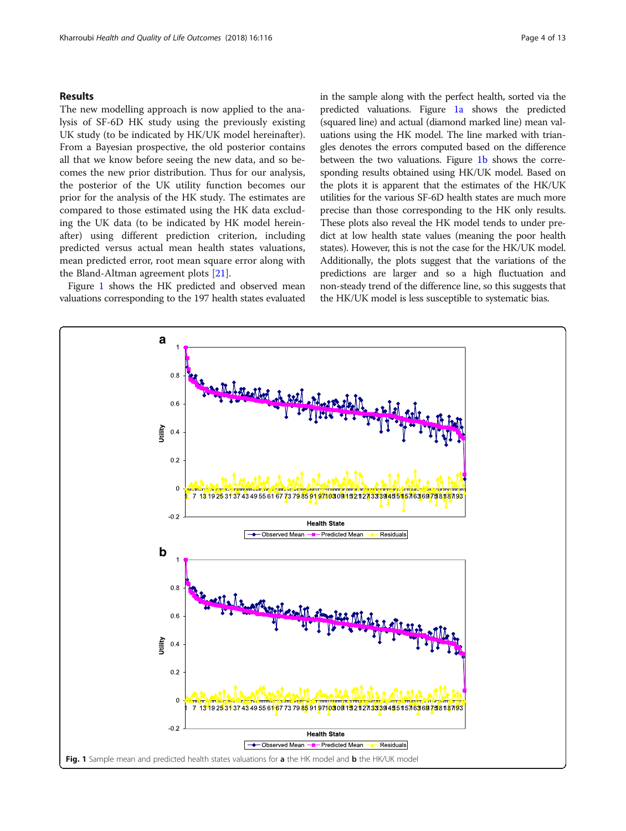## Results

The new modelling approach is now applied to the analysis of SF-6D HK study using the previously existing UK study (to be indicated by HK/UK model hereinafter). From a Bayesian prospective, the old posterior contains all that we know before seeing the new data, and so becomes the new prior distribution. Thus for our analysis, the posterior of the UK utility function becomes our prior for the analysis of the HK study. The estimates are compared to those estimated using the HK data excluding the UK data (to be indicated by HK model hereinafter) using different prediction criterion, including predicted versus actual mean health states valuations, mean predicted error, root mean square error along with the Bland-Altman agreement plots [[21\]](#page-12-0).

Figure 1 shows the HK predicted and observed mean valuations corresponding to the 197 health states evaluated in the sample along with the perfect health, sorted via the predicted valuations. Figure 1a shows the predicted (squared line) and actual (diamond marked line) mean valuations using the HK model. The line marked with triangles denotes the errors computed based on the difference between the two valuations. Figure 1b shows the corresponding results obtained using HK/UK model. Based on the plots it is apparent that the estimates of the HK/UK utilities for the various SF-6D health states are much more precise than those corresponding to the HK only results. These plots also reveal the HK model tends to under predict at low health state values (meaning the poor health states). However, this is not the case for the HK/UK model. Additionally, the plots suggest that the variations of the predictions are larger and so a high fluctuation and non-steady trend of the difference line, so this suggests that the HK/UK model is less susceptible to systematic bias.

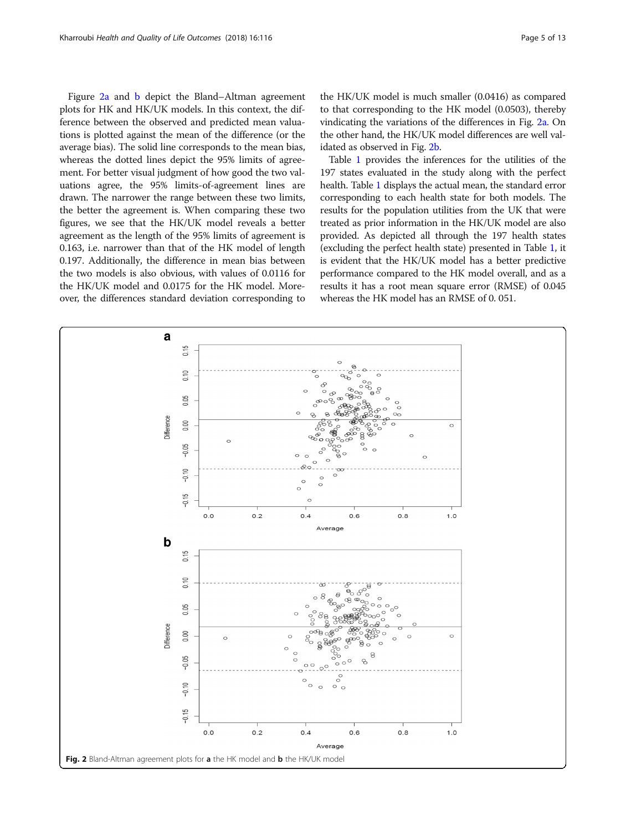Figure 2a and b depict the Bland–Altman agreement plots for HK and HK/UK models. In this context, the difference between the observed and predicted mean valuations is plotted against the mean of the difference (or the average bias). The solid line corresponds to the mean bias, whereas the dotted lines depict the 95% limits of agreement. For better visual judgment of how good the two valuations agree, the 95% limits-of-agreement lines are drawn. The narrower the range between these two limits, the better the agreement is. When comparing these two figures, we see that the HK/UK model reveals a better agreement as the length of the 95% limits of agreement is 0.163, i.e. narrower than that of the HK model of length 0.197. Additionally, the difference in mean bias between the two models is also obvious, with values of 0.0116 for the HK/UK model and 0.0175 for the HK model. Moreover, the differences standard deviation corresponding to

the HK/UK model is much smaller (0.0416) as compared to that corresponding to the HK model (0.0503), thereby vindicating the variations of the differences in Fig. 2a. On the other hand, the HK/UK model differences are well validated as observed in Fig. 2b.

Table [1](#page-5-0) provides the inferences for the utilities of the 197 states evaluated in the study along with the perfect health. Table [1](#page-5-0) displays the actual mean, the standard error corresponding to each health state for both models. The results for the population utilities from the UK that were treated as prior information in the HK/UK model are also provided. As depicted all through the 197 health states (excluding the perfect health state) presented in Table [1,](#page-5-0) it is evident that the HK/UK model has a better predictive performance compared to the HK model overall, and as a results it has a root mean square error (RMSE) of 0.045 whereas the HK model has an RMSE of 0. 051.

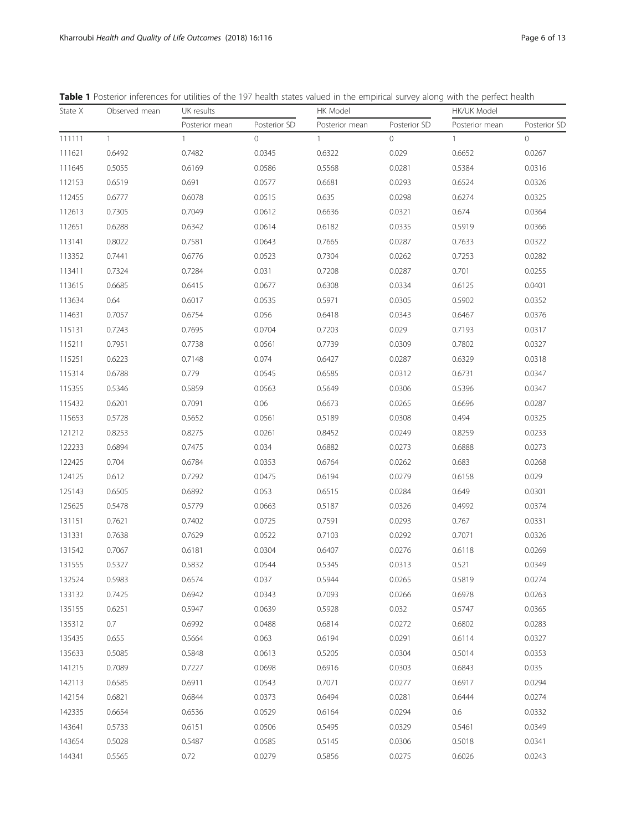| State X | Observed mean  | UK results     |                     | HK Model       |              | HK/UK Model    |              |  |
|---------|----------------|----------------|---------------------|----------------|--------------|----------------|--------------|--|
|         |                | Posterior mean | Posterior SD        | Posterior mean | Posterior SD | Posterior mean | Posterior SD |  |
| 111111  | $\overline{1}$ | 1              | $\mathsf{O}\xspace$ | $\mathbf{1}$   | $\mathbb O$  | $\mathbf{1}$   | $\circ$      |  |
| 111621  | 0.6492         | 0.7482         | 0.0345              | 0.6322         | 0.029        | 0.6652         | 0.0267       |  |
| 111645  | 0.5055         | 0.6169         | 0.0586              | 0.5568         | 0.0281       | 0.5384         | 0.0316       |  |
| 112153  | 0.6519         | 0.691          | 0.0577              | 0.6681         | 0.0293       | 0.6524         | 0.0326       |  |
| 112455  | 0.6777         | 0.6078         | 0.0515              | 0.635          | 0.0298       | 0.6274         | 0.0325       |  |
| 112613  | 0.7305         | 0.7049         | 0.0612              | 0.6636         | 0.0321       | 0.674          | 0.0364       |  |
| 112651  | 0.6288         | 0.6342         | 0.0614              | 0.6182         | 0.0335       | 0.5919         | 0.0366       |  |
| 113141  | 0.8022         | 0.7581         | 0.0643              | 0.7665         | 0.0287       | 0.7633         | 0.0322       |  |
| 113352  | 0.7441         | 0.6776         | 0.0523              | 0.7304         | 0.0262       | 0.7253         | 0.0282       |  |
| 113411  | 0.7324         | 0.7284         | 0.031               | 0.7208         | 0.0287       | 0.701          | 0.0255       |  |
| 113615  | 0.6685         | 0.6415         | 0.0677              | 0.6308         | 0.0334       | 0.6125         | 0.0401       |  |
| 113634  | 0.64           | 0.6017         | 0.0535              | 0.5971         | 0.0305       | 0.5902         | 0.0352       |  |
| 114631  | 0.7057         | 0.6754         | 0.056               | 0.6418         | 0.0343       | 0.6467         | 0.0376       |  |
| 115131  | 0.7243         | 0.7695         | 0.0704              | 0.7203         | 0.029        | 0.7193         | 0.0317       |  |
| 115211  | 0.7951         | 0.7738         | 0.0561              | 0.7739         | 0.0309       | 0.7802         | 0.0327       |  |
| 115251  | 0.6223         | 0.7148         | 0.074               | 0.6427         | 0.0287       | 0.6329         | 0.0318       |  |
| 115314  | 0.6788         | 0.779          | 0.0545              | 0.6585         | 0.0312       | 0.6731         | 0.0347       |  |
| 115355  | 0.5346         | 0.5859         | 0.0563              | 0.5649         | 0.0306       | 0.5396         | 0.0347       |  |
| 115432  | 0.6201         | 0.7091         | 0.06                | 0.6673         | 0.0265       | 0.6696         | 0.0287       |  |
| 115653  | 0.5728         | 0.5652         | 0.0561              | 0.5189         | 0.0308       | 0.494          | 0.0325       |  |
| 121212  | 0.8253         | 0.8275         | 0.0261              | 0.8452         | 0.0249       | 0.8259         | 0.0233       |  |
| 122233  | 0.6894         | 0.7475         | 0.034               | 0.6882         | 0.0273       | 0.6888         | 0.0273       |  |
| 122425  | 0.704          | 0.6784         | 0.0353              | 0.6764         | 0.0262       | 0.683          | 0.0268       |  |
| 124125  | 0.612          | 0.7292         | 0.0475              | 0.6194         | 0.0279       | 0.6158         | 0.029        |  |
| 125143  | 0.6505         | 0.6892         | 0.053               | 0.6515         | 0.0284       | 0.649          | 0.0301       |  |
| 125625  | 0.5478         | 0.5779         | 0.0663              | 0.5187         | 0.0326       | 0.4992         | 0.0374       |  |
| 131151  | 0.7621         | 0.7402         | 0.0725              | 0.7591         | 0.0293       | 0.767          | 0.0331       |  |
| 131331  | 0.7638         | 0.7629         | 0.0522              | 0.7103         | 0.0292       | 0.7071         | 0.0326       |  |
| 131542  | 0.7067         | 0.6181         | 0.0304              | 0.6407         | 0.0276       | 0.6118         | 0.0269       |  |
| 131555  | 0.5327         | 0.5832         | 0.0544              | 0.5345         | 0.0313       | 0.521          | 0.0349       |  |
| 132524  | 0.5983         | 0.6574         | 0.037               | 0.5944         | 0.0265       | 0.5819         | 0.0274       |  |
| 133132  | 0.7425         | 0.6942         | 0.0343              | 0.7093         | 0.0266       | 0.6978         | 0.0263       |  |
| 135155  | 0.6251         | 0.5947         | 0.0639              | 0.5928         | 0.032        | 0.5747         | 0.0365       |  |
| 135312  | 0.7            | 0.6992         | 0.0488              | 0.6814         | 0.0272       | 0.6802         | 0.0283       |  |
| 135435  | 0.655          | 0.5664         | 0.063               | 0.6194         | 0.0291       | 0.6114         | 0.0327       |  |
| 135633  | 0.5085         | 0.5848         | 0.0613              | 0.5205         | 0.0304       | 0.5014         | 0.0353       |  |
| 141215  | 0.7089         | 0.7227         | 0.0698              | 0.6916         | 0.0303       | 0.6843         | 0.035        |  |
| 142113  | 0.6585         | 0.6911         | 0.0543              | 0.7071         | 0.0277       | 0.6917         | 0.0294       |  |
| 142154  | 0.6821         | 0.6844         | 0.0373              | 0.6494         | 0.0281       | 0.6444         | 0.0274       |  |
| 142335  | 0.6654         | 0.6536         | 0.0529              | 0.6164         | 0.0294       | 0.6            | 0.0332       |  |
| 143641  | 0.5733         | 0.6151         | 0.0506              | 0.5495         | 0.0329       | 0.5461         | 0.0349       |  |
| 143654  | 0.5028         | 0.5487         | 0.0585              | 0.5145         | 0.0306       | 0.5018         | 0.0341       |  |
| 144341  | 0.5565         | 0.72           | 0.0279              | 0.5856         | 0.0275       | 0.6026         | 0.0243       |  |

<span id="page-5-0"></span>Table 1 Posterior inferences for utilities of the 197 health states valued in the empirical survey along with the perfect health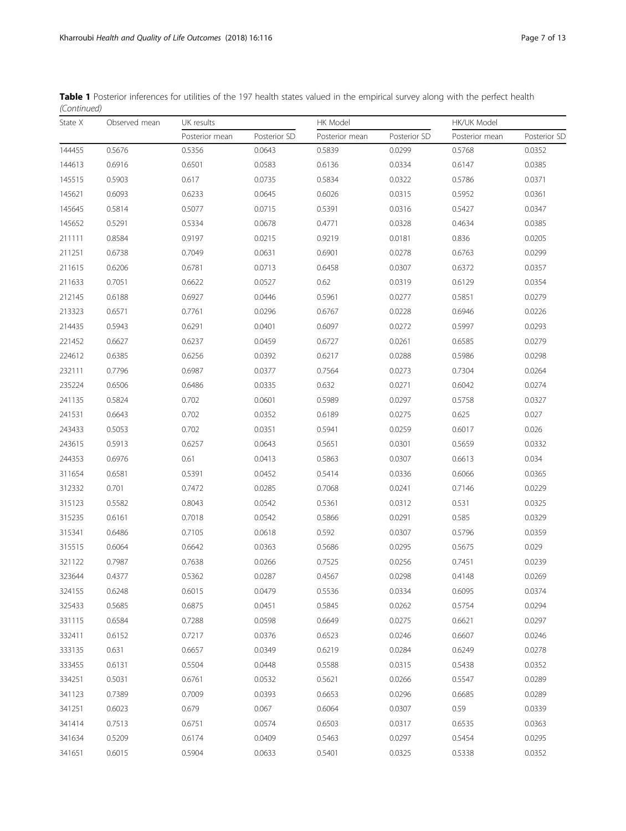| State X | Observed mean | UK results     |              | HK Model       |              | HK/UK Model    |              |  |
|---------|---------------|----------------|--------------|----------------|--------------|----------------|--------------|--|
|         |               | Posterior mean | Posterior SD | Posterior mean | Posterior SD | Posterior mean | Posterior SD |  |
| 144455  | 0.5676        | 0.5356         | 0.0643       | 0.5839         | 0.0299       | 0.5768         | 0.0352       |  |
| 144613  | 0.6916        | 0.6501         | 0.0583       | 0.6136         | 0.0334       | 0.6147         | 0.0385       |  |
| 145515  | 0.5903        | 0.617          | 0.0735       | 0.5834         | 0.0322       | 0.5786         | 0.0371       |  |
| 145621  | 0.6093        | 0.6233         | 0.0645       | 0.6026         | 0.0315       | 0.5952         | 0.0361       |  |
| 145645  | 0.5814        | 0.5077         | 0.0715       | 0.5391         | 0.0316       | 0.5427         | 0.0347       |  |
| 145652  | 0.5291        | 0.5334         | 0.0678       | 0.4771         | 0.0328       | 0.4634         | 0.0385       |  |
| 211111  | 0.8584        | 0.9197         | 0.0215       | 0.9219         | 0.0181       | 0.836          | 0.0205       |  |
| 211251  | 0.6738        | 0.7049         | 0.0631       | 0.6901         | 0.0278       | 0.6763         | 0.0299       |  |
| 211615  | 0.6206        | 0.6781         | 0.0713       | 0.6458         | 0.0307       | 0.6372         | 0.0357       |  |
| 211633  | 0.7051        | 0.6622         | 0.0527       | 0.62           | 0.0319       | 0.6129         | 0.0354       |  |
| 212145  | 0.6188        | 0.6927         | 0.0446       | 0.5961         | 0.0277       | 0.5851         | 0.0279       |  |
| 213323  | 0.6571        | 0.7761         | 0.0296       | 0.6767         | 0.0228       | 0.6946         | 0.0226       |  |
| 214435  | 0.5943        | 0.6291         | 0.0401       | 0.6097         | 0.0272       | 0.5997         | 0.0293       |  |
| 221452  | 0.6627        | 0.6237         | 0.0459       | 0.6727         | 0.0261       | 0.6585         | 0.0279       |  |
| 224612  | 0.6385        | 0.6256         | 0.0392       | 0.6217         | 0.0288       | 0.5986         | 0.0298       |  |
| 232111  | 0.7796        | 0.6987         | 0.0377       | 0.7564         | 0.0273       | 0.7304         | 0.0264       |  |
| 235224  | 0.6506        | 0.6486         | 0.0335       | 0.632          | 0.0271       | 0.6042         | 0.0274       |  |
| 241135  | 0.5824        | 0.702          | 0.0601       | 0.5989         | 0.0297       | 0.5758         | 0.0327       |  |
| 241531  | 0.6643        | 0.702          | 0.0352       | 0.6189         | 0.0275       | 0.625          | 0.027        |  |
| 243433  | 0.5053        | 0.702          | 0.0351       | 0.5941         | 0.0259       | 0.6017         | 0.026        |  |
| 243615  | 0.5913        | 0.6257         | 0.0643       | 0.5651         | 0.0301       | 0.5659         | 0.0332       |  |
| 244353  | 0.6976        | 0.61           | 0.0413       | 0.5863         | 0.0307       | 0.6613         | 0.034        |  |
| 311654  | 0.6581        | 0.5391         | 0.0452       | 0.5414         | 0.0336       | 0.6066         | 0.0365       |  |
| 312332  | 0.701         | 0.7472         | 0.0285       | 0.7068         | 0.0241       | 0.7146         | 0.0229       |  |
| 315123  | 0.5582        | 0.8043         | 0.0542       | 0.5361         | 0.0312       | 0.531          | 0.0325       |  |
| 315235  | 0.6161        | 0.7018         | 0.0542       | 0.5866         | 0.0291       | 0.585          | 0.0329       |  |
| 315341  | 0.6486        | 0.7105         | 0.0618       | 0.592          | 0.0307       | 0.5796         | 0.0359       |  |
| 315515  | 0.6064        | 0.6642         | 0.0363       | 0.5686         | 0.0295       | 0.5675         | 0.029        |  |
| 321122  | 0.7987        | 0.7638         | 0.0266       | 0.7525         | 0.0256       | 0.7451         | 0.0239       |  |
| 323644  | 0.4377        | 0.5362         | 0.0287       | 0.4567         | 0.0298       | 0.4148         | 0.0269       |  |
| 324155  | 0.6248        | 0.6015         | 0.0479       | 0.5536         | 0.0334       | 0.6095         | 0.0374       |  |
| 325433  | 0.5685        | 0.6875         | 0.0451       | 0.5845         | 0.0262       | 0.5754         | 0.0294       |  |
| 331115  | 0.6584        | 0.7288         | 0.0598       | 0.6649         | 0.0275       | 0.6621         | 0.0297       |  |
| 332411  | 0.6152        | 0.7217         | 0.0376       | 0.6523         | 0.0246       | 0.6607         | 0.0246       |  |
| 333135  | 0.631         | 0.6657         | 0.0349       | 0.6219         | 0.0284       | 0.6249         | 0.0278       |  |
| 333455  | 0.6131        | 0.5504         | 0.0448       | 0.5588         | 0.0315       | 0.5438         | 0.0352       |  |
| 334251  | 0.5031        | 0.6761         | 0.0532       | 0.5621         | 0.0266       | 0.5547         | 0.0289       |  |
| 341123  | 0.7389        | 0.7009         | 0.0393       | 0.6653         | 0.0296       | 0.6685         | 0.0289       |  |
| 341251  | 0.6023        | 0.679          | 0.067        | 0.6064         | 0.0307       | 0.59           | 0.0339       |  |
| 341414  | 0.7513        | 0.6751         | 0.0574       | 0.6503         | 0.0317       | 0.6535         | 0.0363       |  |
| 341634  | 0.5209        | 0.6174         | 0.0409       | 0.5463         | 0.0297       | 0.5454         | 0.0295       |  |
| 341651  | 0.6015        | 0.5904         | 0.0633       | 0.5401         | 0.0325       | 0.5338         | 0.0352       |  |

Table 1 Posterior inferences for utilities of the 197 health states valued in the empirical survey along with the perfect health (Continued)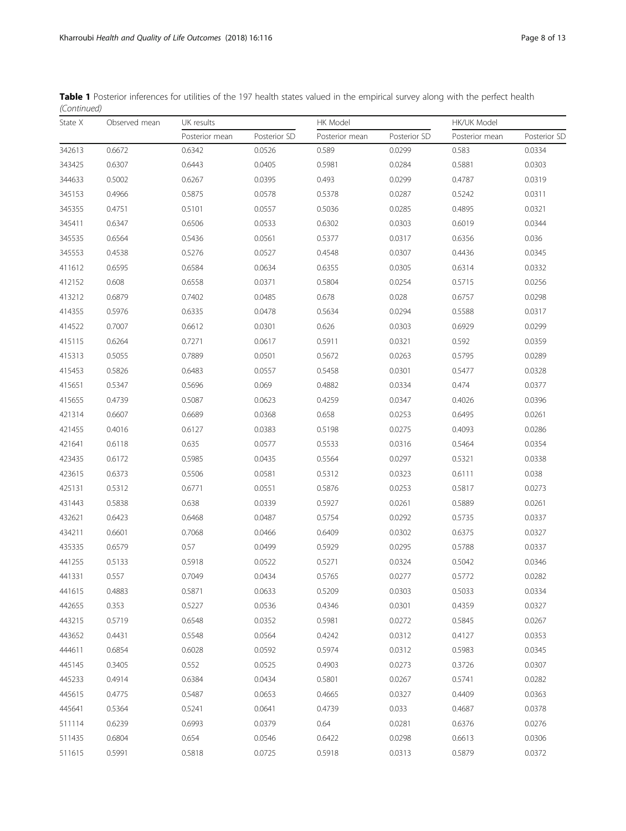| State X | Observed mean | UK results     |              | HK Model       |              | HK/UK Model    |              |  |
|---------|---------------|----------------|--------------|----------------|--------------|----------------|--------------|--|
|         |               | Posterior mean | Posterior SD | Posterior mean | Posterior SD | Posterior mean | Posterior SD |  |
| 342613  | 0.6672        | 0.6342         | 0.0526       | 0.589          | 0.0299       | 0.583          | 0.0334       |  |
| 343425  | 0.6307        | 0.6443         | 0.0405       | 0.5981         | 0.0284       | 0.5881         | 0.0303       |  |
| 344633  | 0.5002        | 0.6267         | 0.0395       | 0.493          | 0.0299       | 0.4787         | 0.0319       |  |
| 345153  | 0.4966        | 0.5875         | 0.0578       | 0.5378         | 0.0287       | 0.5242         | 0.0311       |  |
| 345355  | 0.4751        | 0.5101         | 0.0557       | 0.5036         | 0.0285       | 0.4895         | 0.0321       |  |
| 345411  | 0.6347        | 0.6506         | 0.0533       | 0.6302         | 0.0303       | 0.6019         | 0.0344       |  |
| 345535  | 0.6564        | 0.5436         | 0.0561       | 0.5377         | 0.0317       | 0.6356         | 0.036        |  |
| 345553  | 0.4538        | 0.5276         | 0.0527       | 0.4548         | 0.0307       | 0.4436         | 0.0345       |  |
| 411612  | 0.6595        | 0.6584         | 0.0634       | 0.6355         | 0.0305       | 0.6314         | 0.0332       |  |
| 412152  | 0.608         | 0.6558         | 0.0371       | 0.5804         | 0.0254       | 0.5715         | 0.0256       |  |
| 413212  | 0.6879        | 0.7402         | 0.0485       | 0.678          | 0.028        | 0.6757         | 0.0298       |  |
| 414355  | 0.5976        | 0.6335         | 0.0478       | 0.5634         | 0.0294       | 0.5588         | 0.0317       |  |
| 414522  | 0.7007        | 0.6612         | 0.0301       | 0.626          | 0.0303       | 0.6929         | 0.0299       |  |
| 415115  | 0.6264        | 0.7271         | 0.0617       | 0.5911         | 0.0321       | 0.592          | 0.0359       |  |
| 415313  | 0.5055        | 0.7889         | 0.0501       | 0.5672         | 0.0263       | 0.5795         | 0.0289       |  |
| 415453  | 0.5826        | 0.6483         | 0.0557       | 0.5458         | 0.0301       | 0.5477         | 0.0328       |  |
| 415651  | 0.5347        | 0.5696         | 0.069        | 0.4882         | 0.0334       | 0.474          | 0.0377       |  |
| 415655  | 0.4739        | 0.5087         | 0.0623       | 0.4259         | 0.0347       | 0.4026         | 0.0396       |  |
| 421314  | 0.6607        | 0.6689         | 0.0368       | 0.658          | 0.0253       | 0.6495         | 0.0261       |  |
| 421455  | 0.4016        | 0.6127         | 0.0383       | 0.5198         | 0.0275       | 0.4093         | 0.0286       |  |
| 421641  | 0.6118        | 0.635          | 0.0577       | 0.5533         | 0.0316       | 0.5464         | 0.0354       |  |
| 423435  | 0.6172        | 0.5985         | 0.0435       | 0.5564         | 0.0297       | 0.5321         | 0.0338       |  |
| 423615  | 0.6373        | 0.5506         | 0.0581       | 0.5312         | 0.0323       | 0.6111         | 0.038        |  |
| 425131  | 0.5312        | 0.6771         | 0.0551       | 0.5876         | 0.0253       | 0.5817         | 0.0273       |  |
| 431443  | 0.5838        | 0.638          | 0.0339       | 0.5927         | 0.0261       | 0.5889         | 0.0261       |  |
| 432621  | 0.6423        | 0.6468         | 0.0487       | 0.5754         | 0.0292       | 0.5735         | 0.0337       |  |
| 434211  | 0.6601        | 0.7068         | 0.0466       | 0.6409         | 0.0302       | 0.6375         | 0.0327       |  |
| 435335  | 0.6579        | 0.57           | 0.0499       | 0.5929         | 0.0295       | 0.5788         | 0.0337       |  |
| 441255  | 0.5133        | 0.5918         | 0.0522       | 0.5271         | 0.0324       | 0.5042         | 0.0346       |  |
| 441331  | 0.557         | 0.7049         | 0.0434       | 0.5765         | 0.0277       | 0.5772         | 0.0282       |  |
| 441615  | 0.4883        | 0.5871         | 0.0633       | 0.5209         | 0.0303       | 0.5033         | 0.0334       |  |
| 442655  | 0.353         | 0.5227         | 0.0536       | 0.4346         | 0.0301       | 0.4359         | 0.0327       |  |
| 443215  | 0.5719        | 0.6548         | 0.0352       | 0.5981         | 0.0272       | 0.5845         | 0.0267       |  |
| 443652  | 0.4431        | 0.5548         | 0.0564       | 0.4242         | 0.0312       | 0.4127         | 0.0353       |  |
| 444611  | 0.6854        | 0.6028         | 0.0592       | 0.5974         | 0.0312       | 0.5983         | 0.0345       |  |
| 445145  | 0.3405        | 0.552          | 0.0525       | 0.4903         | 0.0273       | 0.3726         | 0.0307       |  |
| 445233  | 0.4914        | 0.6384         | 0.0434       | 0.5801         | 0.0267       | 0.5741         | 0.0282       |  |
| 445615  | 0.4775        | 0.5487         | 0.0653       | 0.4665         | 0.0327       | 0.4409         | 0.0363       |  |
| 445641  | 0.5364        | 0.5241         | 0.0641       | 0.4739         | 0.033        | 0.4687         | 0.0378       |  |
| 511114  | 0.6239        | 0.6993         | 0.0379       | 0.64           | 0.0281       | 0.6376         | 0.0276       |  |
| 511435  | 0.6804        | 0.654          | 0.0546       | 0.6422         | 0.0298       | 0.6613         | 0.0306       |  |
| 511615  | 0.5991        | 0.5818         | 0.0725       | 0.5918         | 0.0313       | 0.5879         | 0.0372       |  |

Table 1 Posterior inferences for utilities of the 197 health states valued in the empirical survey along with the perfect health (Continued)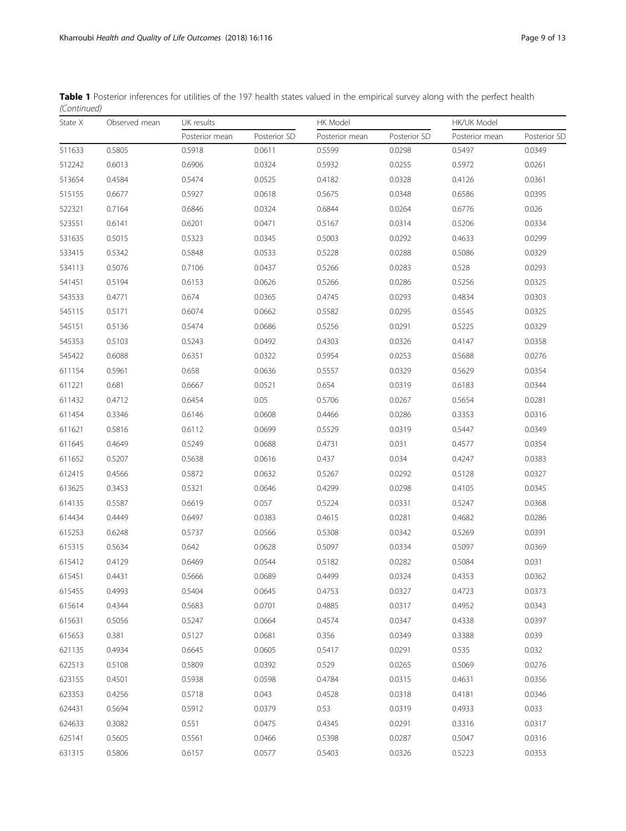| State X | Observed mean | UK results     |              | HK Model       |              | HK/UK Model    |              |  |
|---------|---------------|----------------|--------------|----------------|--------------|----------------|--------------|--|
|         |               | Posterior mean | Posterior SD | Posterior mean | Posterior SD | Posterior mean | Posterior SD |  |
| 511633  | 0.5805        | 0.5918         | 0.0611       | 0.5599         | 0.0298       | 0.5497         | 0.0349       |  |
| 512242  | 0.6013        | 0.6906         | 0.0324       | 0.5932         | 0.0255       | 0.5972         | 0.0261       |  |
| 513654  | 0.4584        | 0.5474         | 0.0525       | 0.4182         | 0.0328       | 0.4126         | 0.0361       |  |
| 515155  | 0.6677        | 0.5927         | 0.0618       | 0.5675         | 0.0348       | 0.6586         | 0.0395       |  |
| 522321  | 0.7164        | 0.6846         | 0.0324       | 0.6844         | 0.0264       | 0.6776         | 0.026        |  |
| 523551  | 0.6141        | 0.6201         | 0.0471       | 0.5167         | 0.0314       | 0.5206         | 0.0334       |  |
| 531635  | 0.5015        | 0.5323         | 0.0345       | 0.5003         | 0.0292       | 0.4633         | 0.0299       |  |
| 533415  | 0.5342        | 0.5848         | 0.0533       | 0.5228         | 0.0288       | 0.5086         | 0.0329       |  |
| 534113  | 0.5076        | 0.7106         | 0.0437       | 0.5266         | 0.0283       | 0.528          | 0.0293       |  |
| 541451  | 0.5194        | 0.6153         | 0.0626       | 0.5266         | 0.0286       | 0.5256         | 0.0325       |  |
| 543533  | 0.4771        | 0.674          | 0.0365       | 0.4745         | 0.0293       | 0.4834         | 0.0303       |  |
| 545115  | 0.5171        | 0.6074         | 0.0662       | 0.5582         | 0.0295       | 0.5545         | 0.0325       |  |
| 545151  | 0.5136        | 0.5474         | 0.0686       | 0.5256         | 0.0291       | 0.5225         | 0.0329       |  |
| 545353  | 0.5103        | 0.5243         | 0.0492       | 0.4303         | 0.0326       | 0.4147         | 0.0358       |  |
| 545422  | 0.6088        | 0.6351         | 0.0322       | 0.5954         | 0.0253       | 0.5688         | 0.0276       |  |
| 611154  | 0.5961        | 0.658          | 0.0636       | 0.5557         | 0.0329       | 0.5629         | 0.0354       |  |
| 611221  | 0.681         | 0.6667         | 0.0521       | 0.654          | 0.0319       | 0.6183         | 0.0344       |  |
| 611432  | 0.4712        | 0.6454         | 0.05         | 0.5706         | 0.0267       | 0.5654         | 0.0281       |  |
| 611454  | 0.3346        | 0.6146         | 0.0608       | 0.4466         | 0.0286       | 0.3353         | 0.0316       |  |
| 611621  | 0.5816        | 0.6112         | 0.0699       | 0.5529         | 0.0319       | 0.5447         | 0.0349       |  |
| 611645  | 0.4649        | 0.5249         | 0.0688       | 0.4731         | 0.031        | 0.4577         | 0.0354       |  |
| 611652  | 0.5207        | 0.5638         | 0.0616       | 0.437          | 0.034        | 0.4247         | 0.0383       |  |
| 612415  | 0.4566        | 0.5872         | 0.0632       | 0.5267         | 0.0292       | 0.5128         | 0.0327       |  |
| 613625  | 0.3453        | 0.5321         | 0.0646       | 0.4299         | 0.0298       | 0.4105         | 0.0345       |  |
| 614135  | 0.5587        | 0.6619         | 0.057        | 0.5224         | 0.0331       | 0.5247         | 0.0368       |  |
| 614434  | 0.4449        | 0.6497         | 0.0383       | 0.4615         | 0.0281       | 0.4682         | 0.0286       |  |
| 615253  | 0.6248        | 0.5737         | 0.0566       | 0.5308         | 0.0342       | 0.5269         | 0.0391       |  |
| 615315  | 0.5634        | 0.642          | 0.0628       | 0.5097         | 0.0334       | 0.5097         | 0.0369       |  |
| 615412  | 0.4129        | 0.6469         | 0.0544       | 0.5182         | 0.0282       | 0.5084         | 0.031        |  |
| 615451  | 0.4431        | 0.5666         | 0.0689       | 0.4499         | 0.0324       | 0.4353         | 0.0362       |  |
| 615455  | 0.4993        | 0.5404         | 0.0645       | 0.4753         | 0.0327       | 0.4723         | 0.0373       |  |
| 615614  | 0.4344        | 0.5683         | 0.0701       | 0.4885         | 0.0317       | 0.4952         | 0.0343       |  |
| 615631  | 0.5056        | 0.5247         | 0.0664       | 0.4574         | 0.0347       | 0.4338         | 0.0397       |  |
| 615653  | 0.381         | 0.5127         | 0.0681       | 0.356          | 0.0349       | 0.3388         | 0.039        |  |
| 621135  | 0.4934        | 0.6645         | 0.0605       | 0.5417         | 0.0291       | 0.535          | 0.032        |  |
| 622513  | 0.5108        | 0.5809         | 0.0392       | 0.529          | 0.0265       | 0.5069         | 0.0276       |  |
| 623155  | 0.4501        | 0.5938         | 0.0598       | 0.4784         | 0.0315       | 0.4631         | 0.0356       |  |
| 623353  | 0.4256        | 0.5718         | 0.043        | 0.4528         | 0.0318       | 0.4181         | 0.0346       |  |
| 624431  | 0.5694        | 0.5912         | 0.0379       | 0.53           | 0.0319       | 0.4933         | 0.033        |  |
| 624633  | 0.3082        | 0.551          | 0.0475       | 0.4345         | 0.0291       | 0.3316         | 0.0317       |  |
| 625141  | 0.5605        | 0.5561         | 0.0466       | 0.5398         | 0.0287       | 0.5047         | 0.0316       |  |
| 631315  | 0.5806        | 0.6157         | 0.0577       | 0.5403         | 0.0326       | 0.5223         | 0.0353       |  |

Table 1 Posterior inferences for utilities of the 197 health states valued in the empirical survey along with the perfect health (Continued)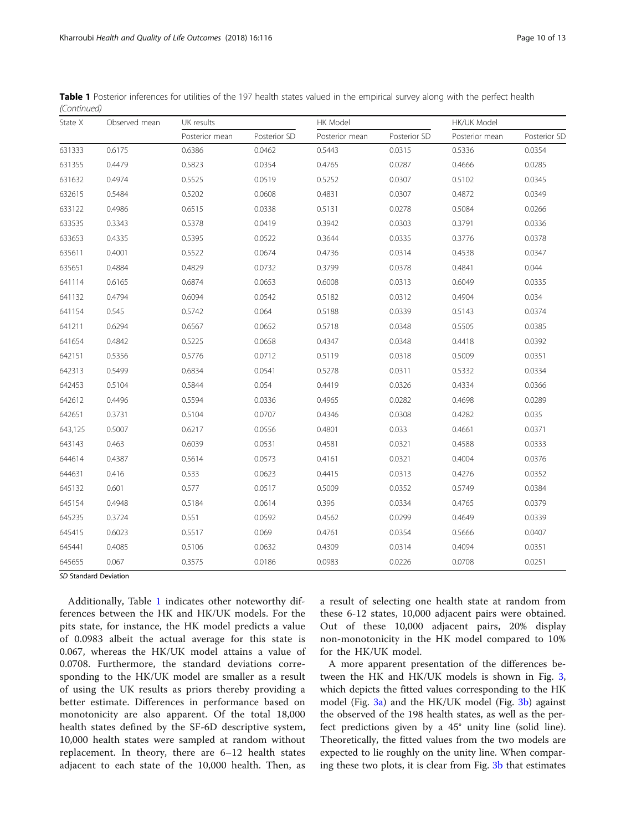Additionally, Table [1](#page-5-0) indicates other noteworthy differences between the HK and HK/UK models. For the pits state, for instance, the HK model predicts a value of 0.0983 albeit the actual average for this state is 0.067, whereas the HK/UK model attains a value of 0.0708. Furthermore, the standard deviations corresponding to the HK/UK model are smaller as a result of using the UK results as priors thereby providing a better estimate. Differences in performance based on monotonicity are also apparent. Of the total 18,000 health states defined by the SF-6D descriptive system, 10,000 health states were sampled at random without replacement. In theory, there are 6–12 health states adjacent to each state of the 10,000 health. Then, as

SD Standard Deviation

a result of selecting one health state at random from these 6-12 states, 10,000 adjacent pairs were obtained. Out of these 10,000 adjacent pairs, 20% display non-monotonicity in the HK model compared to 10% for the HK/UK model.

A more apparent presentation of the differences between the HK and HK/UK models is shown in Fig. [3](#page-10-0), which depicts the fitted values corresponding to the HK model (Fig. [3a\)](#page-10-0) and the HK/UK model (Fig. [3b](#page-10-0)) against the observed of the 198 health states, as well as the perfect predictions given by a 45° unity line (solid line). Theoretically, the fitted values from the two models are expected to lie roughly on the unity line. When compar-ing these two plots, it is clear from Fig. [3b](#page-10-0) that estimates

|             | Table 1 Posterior inferences for utilities of the 197 health states valued in the empirical survey along with the perfect health |  |  |  |  |  |  |
|-------------|----------------------------------------------------------------------------------------------------------------------------------|--|--|--|--|--|--|
| (Continued) |                                                                                                                                  |  |  |  |  |  |  |

| State X | Observed mean | UK results     |              | HK Model       |              | HK/UK Model    |              |  |
|---------|---------------|----------------|--------------|----------------|--------------|----------------|--------------|--|
|         |               | Posterior mean | Posterior SD | Posterior mean | Posterior SD | Posterior mean | Posterior SD |  |
| 631333  | 0.6175        | 0.6386         | 0.0462       | 0.5443         | 0.0315       | 0.5336         | 0.0354       |  |
| 631355  | 0.4479        | 0.5823         | 0.0354       | 0.4765         | 0.0287       | 0.4666         | 0.0285       |  |
| 631632  | 0.4974        | 0.5525         | 0.0519       | 0.5252         | 0.0307       | 0.5102         | 0.0345       |  |
| 632615  | 0.5484        | 0.5202         | 0.0608       | 0.4831         | 0.0307       | 0.4872         | 0.0349       |  |
| 633122  | 0.4986        | 0.6515         | 0.0338       | 0.5131         | 0.0278       | 0.5084         | 0.0266       |  |
| 633535  | 0.3343        | 0.5378         | 0.0419       | 0.3942         | 0.0303       | 0.3791         | 0.0336       |  |
| 633653  | 0.4335        | 0.5395         | 0.0522       | 0.3644         | 0.0335       | 0.3776         | 0.0378       |  |
| 635611  | 0.4001        | 0.5522         | 0.0674       | 0.4736         | 0.0314       | 0.4538         | 0.0347       |  |
| 635651  | 0.4884        | 0.4829         | 0.0732       | 0.3799         | 0.0378       | 0.4841         | 0.044        |  |
| 641114  | 0.6165        | 0.6874         | 0.0653       | 0.6008         | 0.0313       | 0.6049         | 0.0335       |  |
| 641132  | 0.4794        | 0.6094         | 0.0542       | 0.5182         | 0.0312       | 0.4904         | 0.034        |  |
| 641154  | 0.545         | 0.5742         | 0.064        | 0.5188         | 0.0339       | 0.5143         | 0.0374       |  |
| 641211  | 0.6294        | 0.6567         | 0.0652       | 0.5718         | 0.0348       | 0.5505         | 0.0385       |  |
| 641654  | 0.4842        | 0.5225         | 0.0658       | 0.4347         | 0.0348       | 0.4418         | 0.0392       |  |
| 642151  | 0.5356        | 0.5776         | 0.0712       | 0.5119         | 0.0318       | 0.5009         | 0.0351       |  |
| 642313  | 0.5499        | 0.6834         | 0.0541       | 0.5278         | 0.0311       | 0.5332         | 0.0334       |  |
| 642453  | 0.5104        | 0.5844         | 0.054        | 0.4419         | 0.0326       | 0.4334         | 0.0366       |  |
| 642612  | 0.4496        | 0.5594         | 0.0336       | 0.4965         | 0.0282       | 0.4698         | 0.0289       |  |
| 642651  | 0.3731        | 0.5104         | 0.0707       | 0.4346         | 0.0308       | 0.4282         | 0.035        |  |
| 643,125 | 0.5007        | 0.6217         | 0.0556       | 0.4801         | 0.033        | 0.4661         | 0.0371       |  |
| 643143  | 0.463         | 0.6039         | 0.0531       | 0.4581         | 0.0321       | 0.4588         | 0.0333       |  |
| 644614  | 0.4387        | 0.5614         | 0.0573       | 0.4161         | 0.0321       | 0.4004         | 0.0376       |  |
| 644631  | 0.416         | 0.533          | 0.0623       | 0.4415         | 0.0313       | 0.4276         | 0.0352       |  |
| 645132  | 0.601         | 0.577          | 0.0517       | 0.5009         | 0.0352       | 0.5749         | 0.0384       |  |
| 645154  | 0.4948        | 0.5184         | 0.0614       | 0.396          | 0.0334       | 0.4765         | 0.0379       |  |
| 645235  | 0.3724        | 0.551          | 0.0592       | 0.4562         | 0.0299       | 0.4649         | 0.0339       |  |
| 645415  | 0.6023        | 0.5517         | 0.069        | 0.4761         | 0.0354       | 0.5666         | 0.0407       |  |
| 645441  | 0.4085        | 0.5106         | 0.0632       | 0.4309         | 0.0314       | 0.4094         | 0.0351       |  |
| 645655  | 0.067         | 0.3575         | 0.0186       | 0.0983         | 0.0226       | 0.0708         | 0.0251       |  |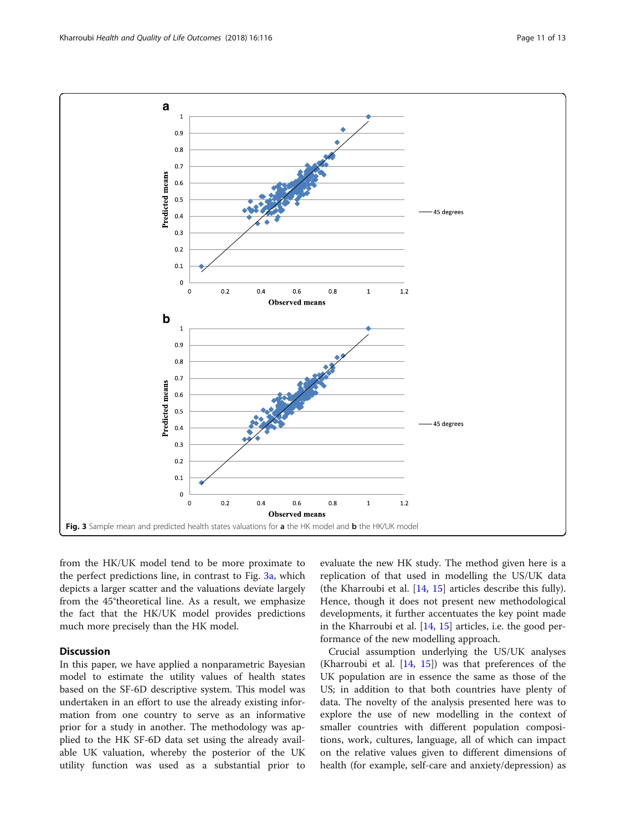from the HK/UK model tend to be more proximate to the perfect predictions line, in contrast to Fig. 3a, which depicts a larger scatter and the valuations deviate largely from the 45°theoretical line. As a result, we emphasize the fact that the HK/UK model provides predictions much more precisely than the HK model.

## **Discussion**

In this paper, we have applied a nonparametric Bayesian model to estimate the utility values of health states based on the SF-6D descriptive system. This model was undertaken in an effort to use the already existing information from one country to serve as an informative prior for a study in another. The methodology was applied to the HK SF-6D data set using the already available UK valuation, whereby the posterior of the UK utility function was used as a substantial prior to

evaluate the new HK study. The method given here is a replication of that used in modelling the US/UK data (the Kharroubi et al. [\[14,](#page-12-0) [15](#page-12-0)] articles describe this fully). Hence, though it does not present new methodological developments, it further accentuates the key point made in the Kharroubi et al. [[14,](#page-12-0) [15\]](#page-12-0) articles, i.e. the good performance of the new modelling approach.

Crucial assumption underlying the US/UK analyses (Kharroubi et al. [[14](#page-12-0), [15](#page-12-0)]) was that preferences of the UK population are in essence the same as those of the US; in addition to that both countries have plenty of data. The novelty of the analysis presented here was to explore the use of new modelling in the context of smaller countries with different population compositions, work, cultures, language, all of which can impact on the relative values given to different dimensions of health (for example, self-care and anxiety/depression) as

<span id="page-10-0"></span>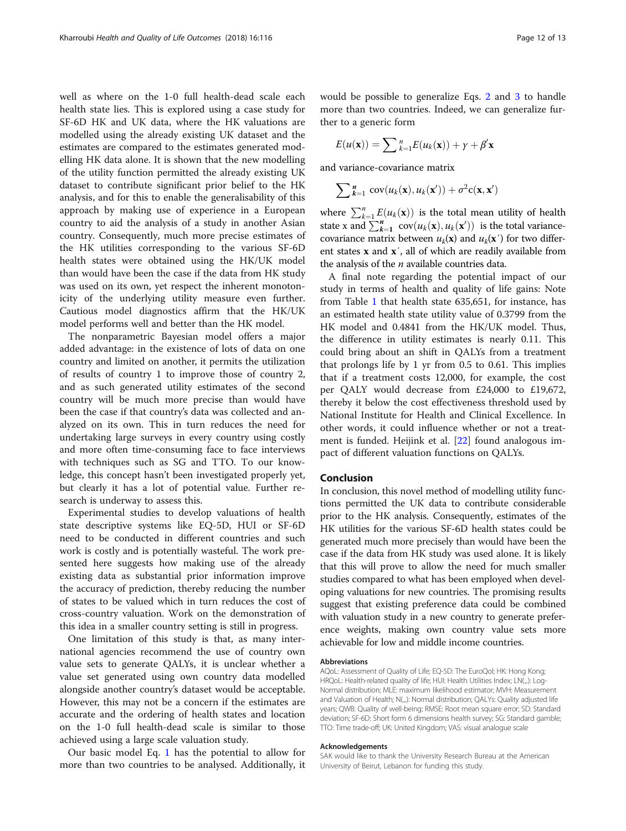well as where on the 1-0 full health-dead scale each health state lies. This is explored using a case study for SF-6D HK and UK data, where the HK valuations are modelled using the already existing UK dataset and the estimates are compared to the estimates generated modelling HK data alone. It is shown that the new modelling of the utility function permitted the already existing UK dataset to contribute significant prior belief to the HK analysis, and for this to enable the generalisability of this approach by making use of experience in a European country to aid the analysis of a study in another Asian country. Consequently, much more precise estimates of the HK utilities corresponding to the various SF-6D health states were obtained using the HK/UK model than would have been the case if the data from HK study was used on its own, yet respect the inherent monotonicity of the underlying utility measure even further. Cautious model diagnostics affirm that the HK/UK model performs well and better than the HK model.

The nonparametric Bayesian model offers a major added advantage: in the existence of lots of data on one country and limited on another, it permits the utilization of results of country 1 to improve those of country 2, and as such generated utility estimates of the second country will be much more precise than would have been the case if that country's data was collected and analyzed on its own. This in turn reduces the need for undertaking large surveys in every country using costly and more often time-consuming face to face interviews with techniques such as SG and TTO. To our knowledge, this concept hasn't been investigated properly yet, but clearly it has a lot of potential value. Further research is underway to assess this.

Experimental studies to develop valuations of health state descriptive systems like EQ-5D, HUI or SF-6D need to be conducted in different countries and such work is costly and is potentially wasteful. The work presented here suggests how making use of the already existing data as substantial prior information improve the accuracy of prediction, thereby reducing the number of states to be valued which in turn reduces the cost of cross-country valuation. Work on the demonstration of this idea in a smaller country setting is still in progress.

One limitation of this study is that, as many international agencies recommend the use of country own value sets to generate QALYs, it is unclear whether a value set generated using own country data modelled alongside another country's dataset would be acceptable. However, this may not be a concern if the estimates are accurate and the ordering of health states and location on the 1-0 full health-dead scale is similar to those achieved using a large scale valuation study.

Our basic model Eq. [1](#page-2-0) has the potential to allow for more than two countries to be analysed. Additionally, it would be possible to generalize Eqs. [2](#page-2-0) and [3](#page-2-0) to handle more than two countries. Indeed, we can generalize further to a generic form

$$
E(u(\mathbf{x})) = \sum_{k=1}^{n} E(u_k(\mathbf{x})) + \gamma + \beta' \mathbf{x}
$$

and variance-covariance matrix

$$
\sum_{k=1}^n \text{cov}(u_k(\mathbf{x}), u_k(\mathbf{x}')) + \sigma^2 c(\mathbf{x}, \mathbf{x}')
$$

where  $\sum_{k=1}^{n} E(u_k(\mathbf{x}))$  is the total mean utility of health state x and  $\sum_{k=1}^{n} cov(u_k(\mathbf{x}), u_k(\mathbf{x}'))$  is the total variancecovariance matrix between  $u_k(\mathbf{x})$  and  $u_k(\mathbf{x}')$  for two different states  $x$  and  $x'$ , all of which are readily available from the analysis of the  $n$  available countries data.

A final note regarding the potential impact of our study in terms of health and quality of life gains: Note from Table [1](#page-5-0) that health state 635,651, for instance, has an estimated health state utility value of 0.3799 from the HK model and 0.4841 from the HK/UK model. Thus, the difference in utility estimates is nearly 0.11. This could bring about an shift in QALYs from a treatment that prolongs life by 1 yr from 0.5 to 0.61. This implies that if a treatment costs 12,000, for example, the cost per QALY would decrease from £24,000 to £19,672, thereby it below the cost effectiveness threshold used by National Institute for Health and Clinical Excellence. In other words, it could influence whether or not a treatment is funded. Heijink et al. [\[22](#page-12-0)] found analogous impact of different valuation functions on QALYs.

## Conclusion

In conclusion, this novel method of modelling utility functions permitted the UK data to contribute considerable prior to the HK analysis. Consequently, estimates of the HK utilities for the various SF-6D health states could be generated much more precisely than would have been the case if the data from HK study was used alone. It is likely that this will prove to allow the need for much smaller studies compared to what has been employed when developing valuations for new countries. The promising results suggest that existing preference data could be combined with valuation study in a new country to generate preference weights, making own country value sets more achievable for low and middle income countries.

### Abbreviations

AQoL: Assessment of Quality of Life; EQ-5D: The EuroQol; HK: Hong Kong; HRQoL: Health-related quality of life; HUI: Health Utilities Index; LN(.,.): Log-Normal distribution; MLE: maximum likelihood estimator; MVH: Measurement and Valuation of Health; N("): Normal distribution; QALYs: Quality adjusted life years; QWB: Quality of well-being; RMSE: Root mean square error; SD: Standard deviation; SF-6D: Short form 6 dimensions health survey; SG: Standard gamble; TTO: Time trade-off; UK: United Kingdom; VAS: visual analogue scale

#### Acknowledgements

SAK would like to thank the University Research Bureau at the American University of Beirut, Lebanon for funding this study.